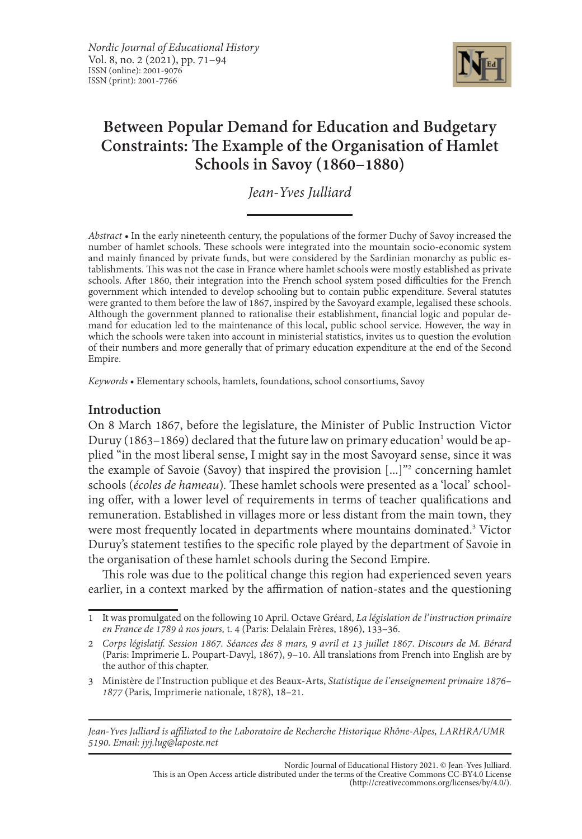

# **Between Popular Demand for Education and Budgetary Constraints: The Example of the Organisation of Hamlet Schools in Savoy (1860–1880)**

*Jean-Yves Julliard*

*Abstract •* In the early nineteenth century, the populations of the former Duchy of Savoy increased the number of hamlet schools. These schools were integrated into the mountain socio-economic system<br>and mainly financed by private funds, but were considered by the Sardinian monarchy as public establishments. This was not the case in France where hamlet schools were mostly established as private schools. After 1860, their integration into the French school system posed difficulties for the French government which intended to develop schooling but to contain public expenditure. Several statutes were granted to them before the law of 1867, inspired by the Savoyard example, legalised these schools.<br>Although the government planned to rationalise their establishment, financial logic and popular demand for education led to the maintenance of this local, public school service. However, the way in which the schools were taken into account in ministerial statistics, invites us to question the evolution of their numbers and more generally that of primary education expenditure at the end of the Second Empire.

*Keywords •* Elementary schools, hamlets, foundations, school consortiums, Savoy

# **Introduction**

On 8 March 1867, before the legislature, the Minister of Public Instruction Victor Duruy (1863–1869) declared that the future law on primary education<sup>1</sup> would be applied "in the most liberal sense, I might say in the most Savoyard sense, since it was the example of Savoie (Savoy) that inspired the provision [...]"<sup>2</sup> concerning hamlet schools (*écoles de hameau*)*.* These hamlet schools were presented as a 'local'  schooling offer, with a lower level of requirements in terms of teacher qualifications and remuneration. Established in villages more or less distant from the main town, they were most frequently located in departments where mountains dominated.3 Victor Duruy's statement testifies to the specific role played by the department of Savoie in the organisation of these hamlet schools during the Second Empire.

This role was due to the political change this region had experienced seven years earlier, in a context marked by the affirmation of nation-states and the questioning

*Jean-Yves Julliard is affiliated to the Laboratoire de Recherche Historique Rhône-Alpes, LARHRA/UMR 5190. Email: jyj.lug@laposte.net*

> Nordic Journal of Educational History 2021. © Jean-Yves Julliard. This is an Open Access article distributed under the terms of the Creative Commons CC-BY4.0 License (http://creativecommons.org/licenses/by/4.0/).

<sup>1</sup> It was promulgated on the following 10 April. Octave Gréard, *La législation de l' instruction primaire en France de 1789 à nos jours,* t. 4 (Paris: Delalain Frères, 1896), 133–36.

<sup>2</sup> *Corps législatif. Session 1867. Séances des 8 mars, 9 avril et 13 juillet 1867*. *Discours de M. Bérard* (Paris: Imprimerie L. Poupart-Davyl, 1867), 9–10. All translations from French into English are by the author of this chapter.

<sup>3</sup> Ministère de l' Instruction publique et des Beaux-Arts, *Statistique de l' enseignement primaire 1876– 1877* (Paris, Imprimerie nationale, 1878), 18–21.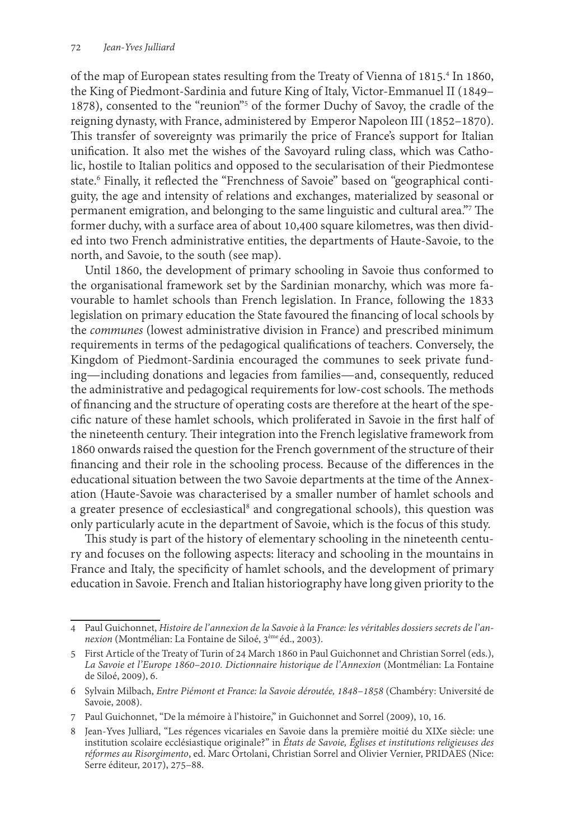of the map of European states resulting from the Treaty of Vienna of 1815.4 In 1860, the King of Piedmont-Sardinia and future King of Italy, Victor-Emmanuel II (1849– 1878), consented to the "reunion"5 of the former Duchy of Savoy, the cradle of the reigning dynasty, with France, administered by Emperor Napoleon III (1852–1870). This transfer of sovereignty was primarily the price of France's support for Italian unification. It also met the wishes of the Savoyard ruling class, which was Catholic, hostile to Italian politics and opposed to the secularisation of their Piedmontese state.6 Finally, it reflected the "Frenchness of Savoie" based on "geographical contiguity, the age and intensity of relations and exchanges, materialized by seasonal or permanent emigration, and belonging to the same linguistic and cultural area."7 The former duchy, with a surface area of about 10,400 square kilometres, was then divided into two French administrative entities, the departments of Haute-Savoie, to the north, and Savoie, to the south (see map).

Until 1860, the development of primary schooling in Savoie thus conformed to the organisational framework set by the Sardinian monarchy, which was more favourable to hamlet schools than French legislation. In France, following the 1833 legislation on primary education the State favoured the financing of local schools by the *communes* (lowest administrative division in France) and prescribed minimum requirements in terms of the pedagogical qualifications of teachers. Conversely, the Kingdom of Piedmont-Sardinia encouraged the communes to seek private funding—including donations and legacies from families—and, consequently, reduced the administrative and pedagogical requirements for low-cost schools. The methods of financing and the structure of operating costs are therefore at the heart of the specific nature of these hamlet schools, which proliferated in Savoie in the first half of the nineteenth century. Their integration into the French legislative framework from 1860 onwards raised the question for the French government of the structure of their financing and their role in the schooling process. Because of the differences in the educational situation between the two Savoie departments at the time of the Annexation (Haute-Savoie was characterised by a smaller number of hamlet schools and a greater presence of ecclesiastical<sup>8</sup> and congregational schools), this question was only particularly acute in the department of Savoie, which is the focus of this study.

This study is part of the history of elementary schooling in the nineteenth century and focuses on the following aspects: literacy and schooling in the mountains in France and Italy, the specificity of hamlet schools, and the development of primary education in Savoie. French and Italian historiography have long given priority to the

<sup>4</sup> Paul Guichonnet, *Histoire de l' annexion de la Savoie à la France: les véritables dossiers secrets de l' annexion* (Montmélian: La Fontaine de Siloé, 3ème éd., 2003).

<sup>5</sup> First Article of the Treaty of Turin of 24 March 1860 in Paul Guichonnet and Christian Sorrel (eds.), *La Savoie et l' Europe 1860–2010. Dictionnaire historique de l' Annexion* (Montmélian: La Fontaine de Siloé, 2009), 6.

<sup>6</sup> Sylvain Milbach, *Entre Piémont et France: la Savoie déroutée, 1848–1858* (Chambéry: Université de Savoie, 2008).

<sup>7</sup> Paul Guichonnet, "De la mémoire à l' histoire," in Guichonnet and Sorrel (2009), 10, 16.

<sup>8</sup> Jean-Yves Julliard, "Les régences vicariales en Savoie dans la première moitié du XIXe siècle: une institution scolaire ecclésiastique originale?" in *États de Savoie, Églises et institutions religieuses des réformes au Risorgimento*, ed. Marc Ortolani, Christian Sorrel and Olivier Vernier, PRIDAES (Nice: Serre éditeur, 2017), 275–88.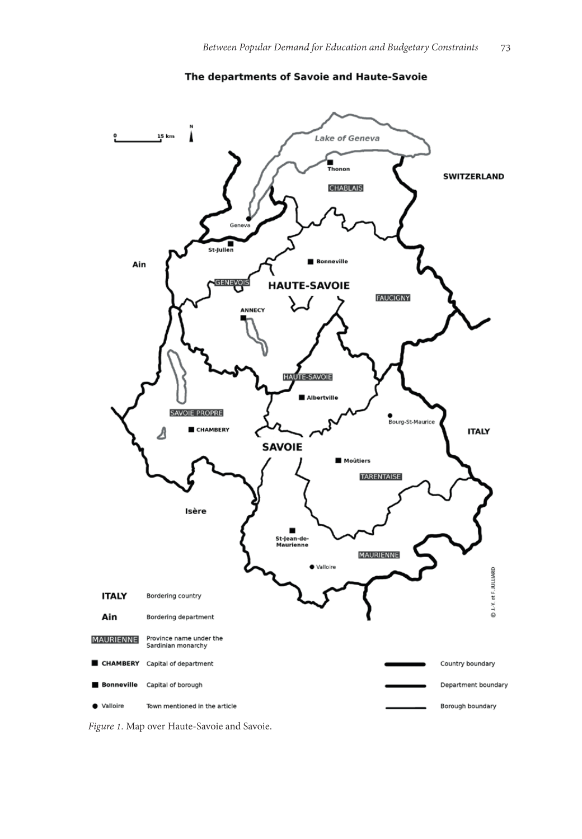

#### The departments of Savoie and Haute-Savoie

*Figure 1.* Map over Haute-Savoie and Savoie.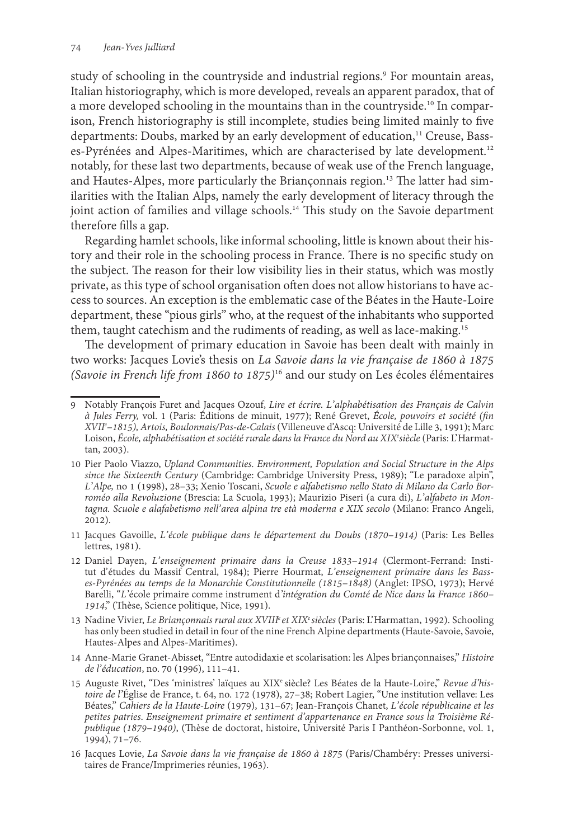study of schooling in the countryside and industrial regions.9 For mountain areas, Italian historiography, which is more developed, reveals an apparent paradox, that of a more developed schooling in the mountains than in the countryside.<sup>10</sup> In comparison, French historiography is still incomplete, studies being limited mainly to five departments: Doubs, marked by an early development of education,<sup>11</sup> Creuse, Basses-Pyrénées and Alpes-Maritimes, which are characterised by late development.<sup>12</sup> notably, for these last two departments, because of weak use of the French language, and Hautes-Alpes, more particularly the Briançonnais region.<sup>13</sup> The latter had similarities with the Italian Alps, namely the early development of literacy through the joint action of families and village schools.<sup>14</sup> This study on the Savoie department therefore fills a gap.

Regarding hamlet schools, like informal schooling, little is known about their history and their role in the schooling process in France. There is no specific study on the subject. The reason for their low visibility lies in their status, which was mostly private, as this type of school organisation often does not allow historians to have access to sources. An exception is the emblematic case of the Béates in the Haute-Loire department, these "pious girls" who, at the request of the inhabitants who supported them, taught catechism and the rudiments of reading, as well as lace-making.15

The development of primary education in Savoie has been dealt with mainly in two works: Jacques Lovie's thesis on *La Savoie dans la vie française de 1860 à 1875 (Savoie in French life from 1860 to 1875)*16 and our study on Les écoles élémentaires

- 11 Jacques Gavoille, *L' école publique dans le département du Doubs (1870–1914)* (Paris: Les Belles lettres, 1981).
- 12 Daniel Dayen, *L' enseignement primaire dans la Creuse 1833–1914* (Clermont-Ferrand: Institut d'études du Massif Central, 1984); Pierre Hourmat, *L'enseignement primaire dans les Basses-Pyrénées au temps de la Monarchie Constitutionnelle (1815–1848)* (Anglet: IPSO, 1973); Hervé Barelli, "*L'*école primaire comme instrument d*'intégration du Comté de Nice dans la France 1860– 1914*," (Thèse, Science politique, Nice, 1991).
- 13 Nadine Vivier, *Le Briançonnais rural aux XVIIIe et XIXe siècles* (Paris: L' Harmattan, 1992). Schooling has only been studied in detail in four of the nine French Alpine departments (Haute-Savoie, Savoie, Hautes-Alpes and Alpes-Maritimes).
- 14 Anne-Marie Granet-Abisset, "Entre autodidaxie et scolarisation: les Alpes briançonnaises," *Histoire de l' éducation*, no. 70 (1996), 111–41.
- <sup>15</sup> Auguste Rivet, "Des 'ministres' laïques au XIXe siècle? Les Béates de la Haute-Loire," *Revue d'his- toire de l'*Église de France, t. 64, no. 172 (1978), 27–38; Robert Lagier, "Une institution vellave: Les Béates," *Cahiers de la Haute-Loire* (1979), 131–67; Jean-François Chanet, *L' école républicaine et les petites patries*. *Enseignement primaire et sentiment d'appartenance en France sous la Troisième Ré- publique (1879–1940)*, (Thèse de doctorat, histoire, Université Paris I Panthéon-Sorbonne, vol. 1, 1994), 71–76.
- 16 Jacques Lovie, *La Savoie dans la vie française de 1860 à 1875* (Paris/Chambéry: Presses universitaires de France/Imprimeries réunies, 1963).

<sup>9</sup> Notably François Furet and Jacques Ozouf, *Lire et écrire. L' alphabétisation des Français de Calvin à Jules Ferry,* vol. 1 (Paris: Éditions de minuit, 1977); René Grevet, *École, pouvoirs et société (fin XVIIe –1815), Artois, Boulonnais/Pas-de-Calais* (Villeneuve d'Ascq: Université de Lille 3, 1991); Marc Loison, École, alphabétisation et société rurale dans la France du Nord au XIX<sup>e</sup>siècle (Paris: L'Harmat-<br>tan, 2003).

<sup>10</sup> Pier Paolo Viazzo, *Upland Communities. Environment, Population and Social Structure in the Alps since the Sixteenth Century* (Cambridge: Cambridge University Press, 1989); "Le paradoxe alpin", *L' Alpe,* no 1 (1998), 28–33; Xenio Toscani, *Scuole e alfabetismo nello Stato di Milano da Carlo Borroméo alla Revoluzione* (Brescia: La Scuola, 1993); Maurizio Piseri (a cura di), *L' alfabeto in Montagna. Scuole e alafabetismo nell' area alpina tre età moderna e XIX secolo* (Milano: Franco Angeli, 2012).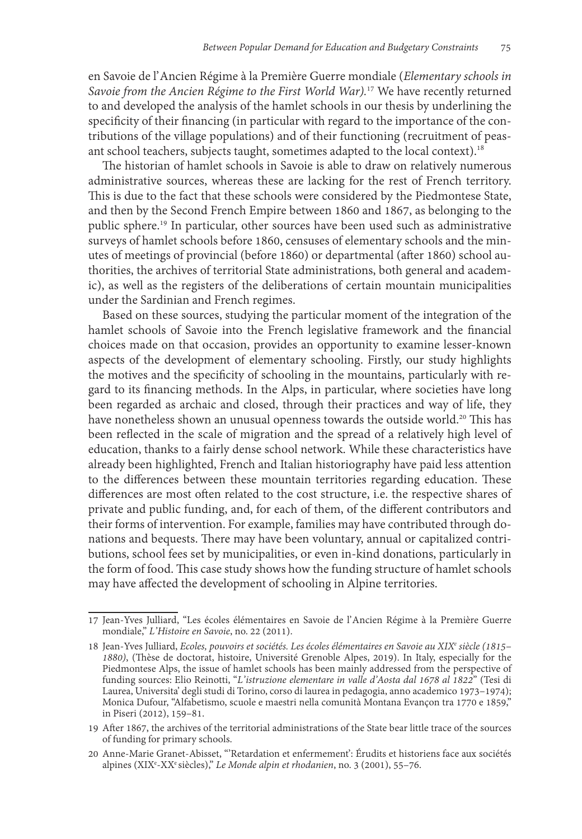en Savoie de l' Ancien Régime à la Première Guerre mondiale (*Elementary schools in Savoie from the Ancien Régime to the First World War).*17 We have recently returned to and developed the analysis of the hamlet schools in our thesis by underlining the specificity of their financing (in particular with regard to the importance of the contributions of the village populations) and of their functioning (recruitment of peasant school teachers, subjects taught, sometimes adapted to the local context).18

The historian of hamlet schools in Savoie is able to draw on relatively numerous administrative sources, whereas these are lacking for the rest of French territory. This is due to the fact that these schools were considered by the Piedmontese State, and then by the Second French Empire between 1860 and 1867, as belonging to the public sphere.19 In particular, other sources have been used such as administrative surveys of hamlet schools before 1860, censuses of elementary schools and the minutes of meetings of provincial (before 1860) or departmental (after 1860) school authorities, the archives of territorial State administrations, both general and academic), as well as the registers of the deliberations of certain mountain municipalities under the Sardinian and French regimes.

Based on these sources, studying the particular moment of the integration of the hamlet schools of Savoie into the French legislative framework and the financial choices made on that occasion, provides an opportunity to examine lesser-known aspects of the development of elementary schooling. Firstly, our study highlights the motives and the specificity of schooling in the mountains, particularly with regard to its financing methods. In the Alps, in particular, where societies have long been regarded as archaic and closed, through their practices and way of life, they have nonetheless shown an unusual openness towards the outside world.<sup>20</sup> This has been reflected in the scale of migration and the spread of a relatively high level of education, thanks to a fairly dense school network. While these characteristics have already been highlighted, French and Italian historiography have paid less attention to the differences between these mountain territories regarding education. These differences are most often related to the cost structure, i.e. the respective shares of private and public funding, and, for each of them, of the different contributors and their forms of intervention. For example, families may have contributed through donations and bequests. There may have been voluntary, annual or capitalized contributions, school fees set by municipalities, or even in-kind donations, particularly in the form of food. This case study shows how the funding structure of hamlet schools may have affected the development of schooling in Alpine territories.

<sup>17</sup> Jean-Yves Julliard, "Les écoles élémentaires en Savoie de l' Ancien Régime à la Première Guerre mondiale," *L' Histoire en Savoie*, no. 22 (2011).

<sup>18</sup> Jean-Yves Julliard, *Ecoles, pouvoirs et sociétés. Les écoles élémentaires en Savoie au XIXe siècle (1815– 1880)*, (Thèse de doctorat, histoire, Université Grenoble Alpes, 2019). In Italy, especially for the Piedmontese Alps, the issue of hamlet schools has been mainly addressed from the perspective of funding sources: Elio Reinotti, "*L' istruzione elementare in valle d'Aosta dal 1678 al 1822*" (Tesi di Laurea, Universita' degli studi di Torino, corso di laurea in pedagogia, anno academico 1973–1974); Monica Dufour, "Alfabetismo, scuole e maestri nella comunità Montana Evançon tra 1770 e 1859," in Piseri (2012), 159–81.

<sup>19</sup> After 1867, the archives of the territorial administrations of the State bear little trace of the sources of funding for primary schools.

<sup>20</sup> Anne-Marie Granet-Abisset, "'Retardation et enfermement': Érudits et historiens face aux sociétés alpines (XIXe -XXe siècles)," *Le Monde alpin et rhodanien*, no. 3 (2001), 55–76.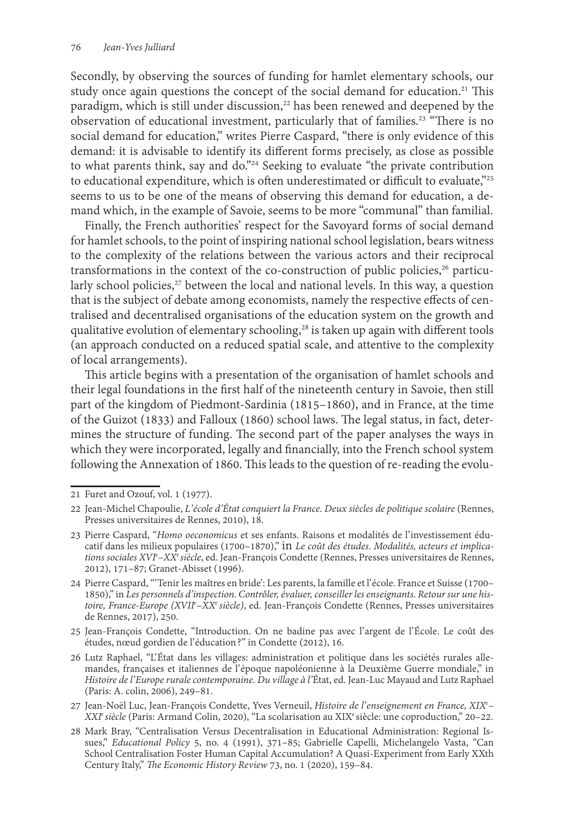Secondly, by observing the sources of funding for hamlet elementary schools, our study once again questions the concept of the social demand for education.<sup>21</sup> This paradigm, which is still under discussion,<sup>22</sup> has been renewed and deepened by the observation of educational investment, particularly that of families.<sup>23</sup> "There is no social demand for education," writes Pierre Caspard, "there is only evidence of this demand: it is advisable to identify its different forms precisely, as close as possible to what parents think, say and do."24 Seeking to evaluate "the private contribution to educational expenditure, which is often underestimated or difficult to evaluate,"25 seems to us to be one of the means of observing this demand for education, a demand which, in the example of Savoie, seems to be more "communal" than familial.

Finally, the French authorities' respect for the Savoyard forms of social demand for hamlet schools, to the point of inspiring national school legislation, bears witness to the complexity of the relations between the various actors and their reciprocal transformations in the context of the co-construction of public policies, $26$  particularly school policies, $27$  between the local and national levels. In this way, a question that is the subject of debate among economists, namely the respective effects of centralised and decentralised organisations of the education system on the growth and qualitative evolution of elementary schooling,<sup>28</sup> is taken up again with different tools (an approach conducted on a reduced spatial scale, and attentive to the complexity of local arrangements).

This article begins with a presentation of the organisation of hamlet schools and their legal foundations in the first half of the nineteenth century in Savoie, then still part of the kingdom of Piedmont-Sardinia (1815–1860), and in France, at the time of the Guizot (1833) and Falloux (1860) school laws. The legal status, in fact, determines the structure of funding. The second part of the paper analyses the ways in which they were incorporated, legally and financially, into the French school system following the Annexation of 1860. This leads to the question of re-reading the evolu-

<sup>21</sup> Furet and Ozouf, vol. 1 (1977).

<sup>22</sup> Jean-Michel Chapoulie, *L'école d'État conquiert la France. Deux siècles de politique scolaire* (Rennes, Presses universitaires de Rennes, 2010), 18.

<sup>23</sup> Pierre Caspard, "*Homo oeconomicus* et ses enfants. Raisons et modalités de l' investissement éducatif dans les milieux populaires (1700–1870)," in *Le coût des études. Modalités, acteurs et implications sociales XVIe –XXe siècle*, ed. Jean-François Condette (Rennes, Presses universitaires de Rennes, 2012), 171–87; Granet-Abisset (1996).

<sup>24</sup> Pierre Caspard, "'Tenir les maîtres en bride': Les parents, la famille et l' école. France et Suisse (1700– 1850)," in *Les personnels d'inspection. Contrôler, évaluer, conseiller les enseignants. Retour sur une histoire, France-Europe (XVIIe –XXe siècle)*, ed. Jean-François Condette (Rennes, Presses universitaires de Rennes, 2017), 250.

<sup>25</sup> Jean-François Condette, "Introduction. On ne badine pas avec l'argent de l'École. Le coût des études, nœud gordien de l' éducation?" in Condette (2012), 16.

<sup>26</sup> Lutz Raphael, "L' État dans les villages: administration et politique dans les sociétés rurales allemandes, françaises et italiennes de l' époque napoléonienne à la Deuxième Guerre mondiale," in *Histoire de l' Europe rurale contemporaine. Du village à l'*État, ed. Jean-Luc Mayaud and Lutz Raphael (Paris: A. colin, 2006), 249–81.

<sup>27</sup> Jean-Noël Luc, Jean-François Condette, Yves Verneuil, *Histoire de l' enseignement en France, XIXe – XXIe siècle* (Paris: Armand Colin, 2020), "La scolarisation au XIXe siècle: une coproduction," 20–22.

<sup>28</sup> Mark Bray, "Centralisation Versus Decentralisation in Educational Administration: Regional Issues," *Educational Policy* 5, no. 4 (1991), 371–85; Gabrielle Capelli, Michelangelo Vasta, "Can School Centralisation Foster Human Capital Accumulation? A Quasi-Experiment from Early XXth Century Italy," *The Economic History Review* 73, no. 1 (2020), 159–84.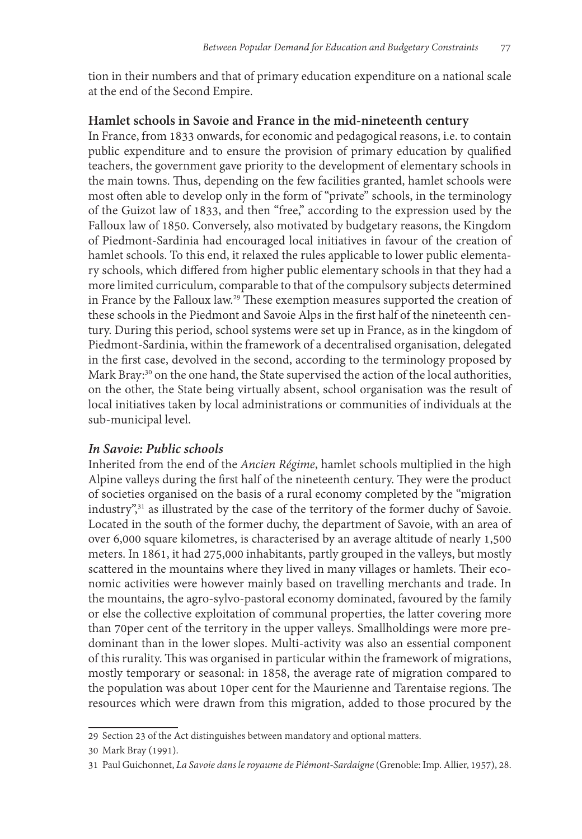tion in their numbers and that of primary education expenditure on a national scale at the end of the Second Empire.

## **Hamlet schools in Savoie and France in the mid-nineteenth century**

In France, from 1833 onwards, for economic and pedagogical reasons, i.e. to contain public expenditure and to ensure the provision of primary education by qualified teachers, the government gave priority to the development of elementary schools in the main towns. Thus, depending on the few facilities granted, hamlet schools were most often able to develop only in the form of "private" schools, in the terminology of the Guizot law of 1833, and then "free," according to the expression used by the Falloux law of 1850. Conversely, also motivated by budgetary reasons, the Kingdom of Piedmont-Sardinia had encouraged local initiatives in favour of the creation of hamlet schools. To this end, it relaxed the rules applicable to lower public elementary schools, which differed from higher public elementary schools in that they had a more limited curriculum, comparable to that of the compulsory subjects determined in France by the Falloux law.<sup>29</sup> These exemption measures supported the creation of these schools in the Piedmont and Savoie Alps in the first half of the nineteenth century. During this period, school systems were set up in France, as in the kingdom of Piedmont-Sardinia, within the framework of a decentralised organisation, delegated in the first case, devolved in the second, according to the terminology proposed by Mark Bray:<sup>30</sup> on the one hand, the State supervised the action of the local authorities, on the other, the State being virtually absent, school organisation was the result of local initiatives taken by local administrations or communities of individuals at the sub-municipal level.

# *In Savoie: Public schools*

Inherited from the end of the *Ancien Régime*, hamlet schools multiplied in the high Alpine valleys during the first half of the nineteenth century. They were the product of societies organised on the basis of a rural economy completed by the "migration industry",<sup>31</sup> as illustrated by the case of the territory of the former duchy of Savoie. Located in the south of the former duchy, the department of Savoie, with an area of over 6,000 square kilometres, is characterised by an average altitude of nearly 1,500 meters. In 1861, it had 275,000 inhabitants, partly grouped in the valleys, but mostly scattered in the mountains where they lived in many villages or hamlets. Their economic activities were however mainly based on travelling merchants and trade. In the mountains, the agro-sylvo-pastoral economy dominated, favoured by the family or else the collective exploitation of communal properties, the latter covering more than 70per cent of the territory in the upper valleys. Smallholdings were more predominant than in the lower slopes. Multi-activity was also an essential component of this rurality. This was organised in particular within the framework of migrations, mostly temporary or seasonal: in 1858, the average rate of migration compared to the population was about 10per cent for the Maurienne and Tarentaise regions. The resources which were drawn from this migration, added to those procured by the

<sup>29</sup> Section 23 of the Act distinguishes between mandatory and optional matters.

<sup>30</sup> Mark Bray (1991).

<sup>31</sup> Paul Guichonnet, *La Savoie dans le royaume de Piémont-Sardaigne* (Grenoble: Imp. Allier, 1957), 28.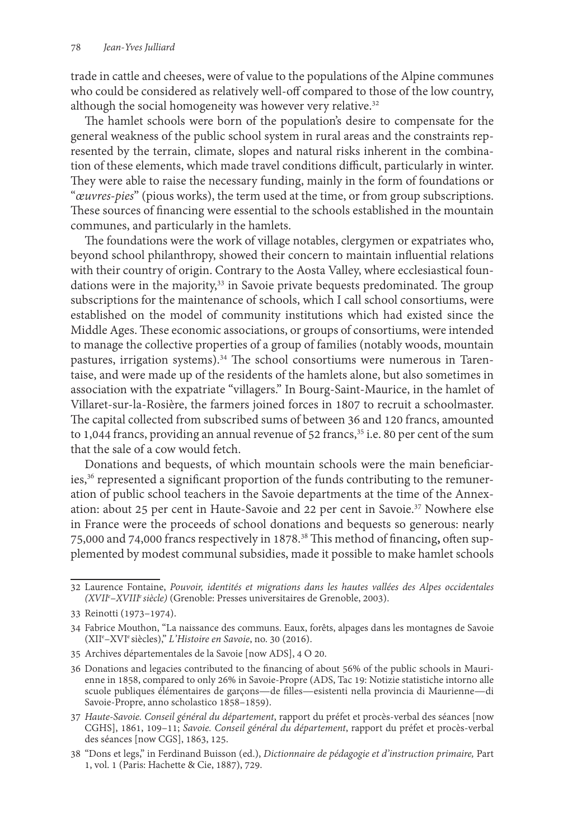trade in cattle and cheeses, were of value to the populations of the Alpine communes who could be considered as relatively well-off compared to those of the low country, although the social homogeneity was however very relative.<sup>32</sup>

The hamlet schools were born of the population's desire to compensate for the general weakness of the public school system in rural areas and the constraints represented by the terrain, climate, slopes and natural risks inherent in the combination of these elements, which made travel conditions difficult, particularly in winter. They were able to raise the necessary funding, mainly in the form of foundations or "*œuvres-pies*" (pious works), the term used at the time, or from group subscriptions. These sources of financing were essential to the schools established in the mountain communes, and particularly in the hamlets.

The foundations were the work of village notables, clergymen or expatriates who, beyond school philanthropy, showed their concern to maintain influential relations with their country of origin. Contrary to the Aosta Valley, where ecclesiastical foundations were in the majority,<sup>33</sup> in Savoie private bequests predominated. The group subscriptions for the maintenance of schools, which I call school consortiums, were established on the model of community institutions which had existed since the Middle Ages. These economic associations, or groups of consortiums, were intended to manage the collective properties of a group of families (notably woods, mountain pastures, irrigation systems).<sup>34</sup> The school consortiums were numerous in Tarentaise, and were made up of the residents of the hamlets alone, but also sometimes in association with the expatriate "villagers." In Bourg-Saint-Maurice, in the hamlet of Villaret-sur-la-Rosière, the farmers joined forces in 1807 to recruit a schoolmaster. The capital collected from subscribed sums of between 36 and 120 francs, amounted to 1,044 francs, providing an annual revenue of 52 francs,<sup>35</sup> i.e. 80 per cent of the sum that the sale of a cow would fetch.

Donations and bequests, of which mountain schools were the main beneficiaries,<sup>36</sup> represented a significant proportion of the funds contributing to the remuneration of public school teachers in the Savoie departments at the time of the Annexation: about 25 per cent in Haute-Savoie and 22 per cent in Savoie.37 Nowhere else in France were the proceeds of school donations and bequests so generous: nearly 75,000 and 74,000 francs respectively in 1878.38 This method of financing**,** often supplemented by modest communal subsidies, made it possible to make hamlet schools

<sup>32</sup> Laurence Fontaine, *Pouvoir, identités et migrations dans les hautes vallées des Alpes occidentales (XVIIe –XVIIIe siècle)* (Grenoble: Presses universitaires de Grenoble, 2003).

<sup>33</sup> Reinotti (1973–1974).

<sup>34</sup> Fabrice Mouthon, "La naissance des communs. Eaux, forêts, alpages dans les montagnes de Savoie (XIIe –XVIe siècles)," *L' Histoire en Savoie*, no. 30 (2016).

<sup>35</sup> Archives départementales de la Savoie [now ADS], 4 O 20.

<sup>36</sup> Donations and legacies contributed to the financing of about 56% of the public schools in Maurienne in 1858, compared to only 26% in Savoie-Propre (ADS, Tac 19: Notizie statistiche intorno alle scuole publiques élémentaires de garçons—de filles—esistenti nella provincia di Maurienne—di Savoie-Propre, anno scholastico 1858–1859).

<sup>37</sup> *Haute-Savoie. Conseil général du département*, rapport du préfet et procès-verbal des séances [now CGHS], 1861, 109–11; *Savoie. Conseil général du département*, rapport du préfet et procès-verbal des séances [now CGS], 1863, 125.

<sup>38</sup> "Dons et legs," in Ferdinand Buisson (ed.), *Dictionnaire de pédagogie et d'instruction primaire,* Part 1, vol. 1 (Paris: Hachette & Cie, 1887), 729.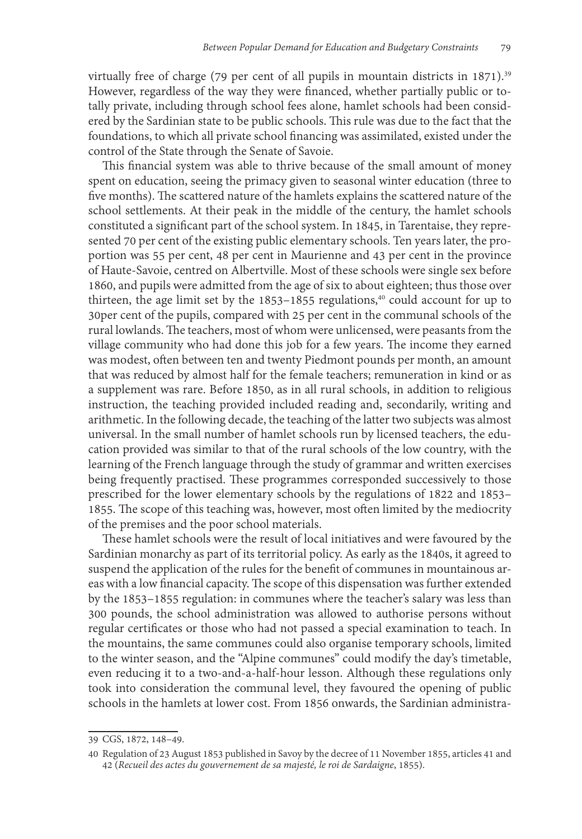virtually free of charge (79 per cent of all pupils in mountain districts in 1871).<sup>39</sup> However, regardless of the way they were financed, whether partially public or totally private, including through school fees alone, hamlet schools had been considered by the Sardinian state to be public schools. This rule was due to the fact that the foundations, to which all private school financing was assimilated, existed under the control of the State through the Senate of Savoie.

This financial system was able to thrive because of the small amount of money spent on education, seeing the primacy given to seasonal winter education (three to five months). The scattered nature of the hamlets explains the scattered nature of the school settlements. At their peak in the middle of the century, the hamlet schools constituted a significant part of the school system. In 1845, in Tarentaise, they represented 70 per cent of the existing public elementary schools. Ten years later, the proportion was 55 per cent, 48 per cent in Maurienne and 43 per cent in the province of Haute-Savoie, centred on Albertville. Most of these schools were single sex before 1860, and pupils were admitted from the age of six to about eighteen; thus those over thirteen, the age limit set by the  $1853-1855$  regulations,<sup>40</sup> could account for up to 30per cent of the pupils, compared with 25 per cent in the communal schools of the rural lowlands. The teachers, most of whom were unlicensed, were peasants from the village community who had done this job for a few years. The income they earned was modest, often between ten and twenty Piedmont pounds per month, an amount that was reduced by almost half for the female teachers; remuneration in kind or as a supplement was rare. Before 1850, as in all rural schools, in addition to religious instruction, the teaching provided included reading and, secondarily, writing and arithmetic. In the following decade, the teaching of the latter two subjects was almost universal. In the small number of hamlet schools run by licensed teachers, the education provided was similar to that of the rural schools of the low country, with the learning of the French language through the study of grammar and written exercises being frequently practised. These programmes corresponded successively to those prescribed for the lower elementary schools by the regulations of 1822 and 1853– 1855. The scope of this teaching was, however, most often limited by the mediocrity of the premises and the poor school materials.

These hamlet schools were the result of local initiatives and were favoured by the Sardinian monarchy as part of its territorial policy. As early as the 1840s, it agreed to suspend the application of the rules for the benefit of communes in mountainous areas with a low financial capacity. The scope of this dispensation was further extended by the 1853–1855 regulation: in communes where the teacher's salary was less than 300 pounds, the school administration was allowed to authorise persons without regular certificates or those who had not passed a special examination to teach. In the mountains, the same communes could also organise temporary schools, limited to the winter season, and the "Alpine communes" could modify the day's timetable, even reducing it to a two-and-a-half-hour lesson. Although these regulations only took into consideration the communal level, they favoured the opening of public schools in the hamlets at lower cost. From 1856 onwards, the Sardinian administra-

<sup>39</sup> CGS, 1872, 148–49.

<sup>40</sup> Regulation of 23 August 1853 published in Savoy by the decree of 11 November 1855, articles 41 and 42 (*Recueil des actes du gouvernement de sa majesté, le roi de Sardaigne*, 1855).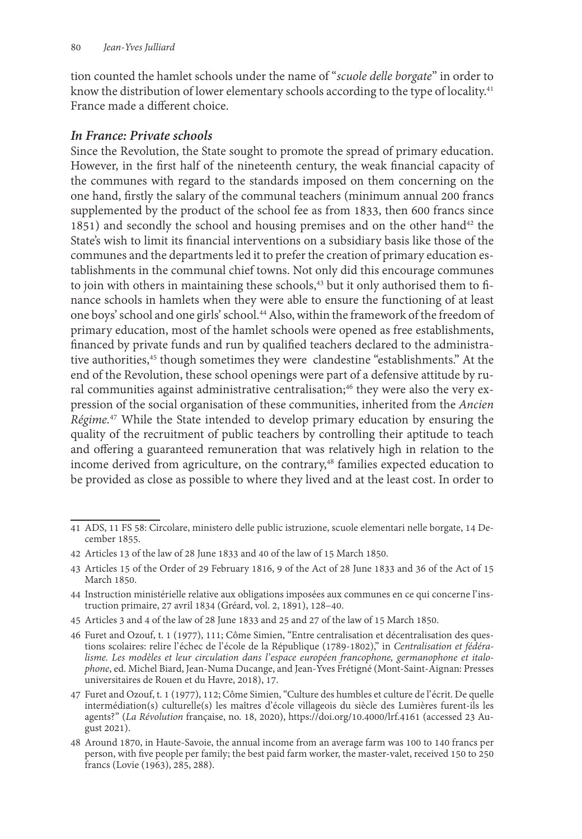tion counted the hamlet schools under the name of "*scuole delle borgate*" in order to know the distribution of lower elementary schools according to the type of locality.<sup>41</sup> France made a different choice.

## *In France: Private schools*

Since the Revolution, the State sought to promote the spread of primary education. However, in the first half of the nineteenth century, the weak financial capacity of the communes with regard to the standards imposed on them concerning on the one hand, firstly the salary of the communal teachers (minimum annual 200 francs supplemented by the product of the school fee as from 1833, then 600 francs since 1851) and secondly the school and housing premises and on the other hand<sup>42</sup> the State's wish to limit its financial interventions on a subsidiary basis like those of the communes and the departments led it to prefer the creation of primary education establishments in the communal chief towns. Not only did this encourage communes to join with others in maintaining these schools,<sup>43</sup> but it only authorised them to finance schools in hamlets when they were able to ensure the functioning of at least one boys' school and one girls' school.44 Also, within the framework of the freedom of primary education, most of the hamlet schools were opened as free establishments, financed by private funds and run by qualified teachers declared to the administrative authorities,<sup>45</sup> though sometimes they were clandestine "establishments." At the end of the Revolution, these school openings were part of a defensive attitude by rural communities against administrative centralisation;<sup>46</sup> they were also the very expression of the social organisation of these communities, inherited from the *Ancien Régime.*47 While the State intended to develop primary education by ensuring the quality of the recruitment of public teachers by controlling their aptitude to teach and offering a guaranteed remuneration that was relatively high in relation to the income derived from agriculture, on the contrary,<sup>48</sup> families expected education to be provided as close as possible to where they lived and at the least cost. In order to

<sup>41</sup> ADS, 11 FS 58: Circolare, ministero delle public istruzione, scuole elementari nelle borgate, 14 December 1855.

<sup>42</sup> Articles 13 of the law of 28 June 1833 and 40 of the law of 15 March 1850.

<sup>43</sup> Articles 15 of the Order of 29 February 1816, 9 of the Act of 28 June 1833 and 36 of the Act of 15 March 1850.

<sup>44</sup> Instruction ministérielle relative aux obligations imposées aux communes en ce qui concerne l' instruction primaire, 27 avril 1834 (Gréard, vol. 2, 1891), 128–40.

<sup>45</sup> Articles 3 and 4 of the law of 28 June 1833 and 25 and 27 of the law of 15 March 1850.

<sup>46</sup> Furet and Ozouf, t. 1 (1977), 111; Côme Simien, "Entre centralisation et décentralisation des ques-<br>tions scolaires: relire l'échec de l'école de la République (1789-1802)," in Centralisation et fédéralisme. Les modèles et leur circulation dans l'espace européen francophone, germanophone et italo-<br>phone, ed. Michel Biard, Jean-Numa Ducange, and Jean-Yves Frétigné (Mont-Saint-Aignan: Presses universitaires de Rouen et du Havre, 2018), 17.

<sup>47</sup> Furet and Ozouf, t. 1 (1977), 112; Côme Simien, "Culture des humbles et culture de l' écrit. De quelle intermédiation(s) culturelle(s) les maîtres d' école villageois du siècle des Lumières furent-ils les agents?" (*La Révolution française, no. 18, 2020*), https://doi.org/10.4000/lrf.4161 (accessed 23 August 2021).

<sup>48</sup> Around 1870, in Haute-Savoie, the annual income from an average farm was 100 to 140 francs per person, with five people per family; the best paid farm worker, the master-valet, received 150 to 250 francs (Lovie (1963), 285, 288).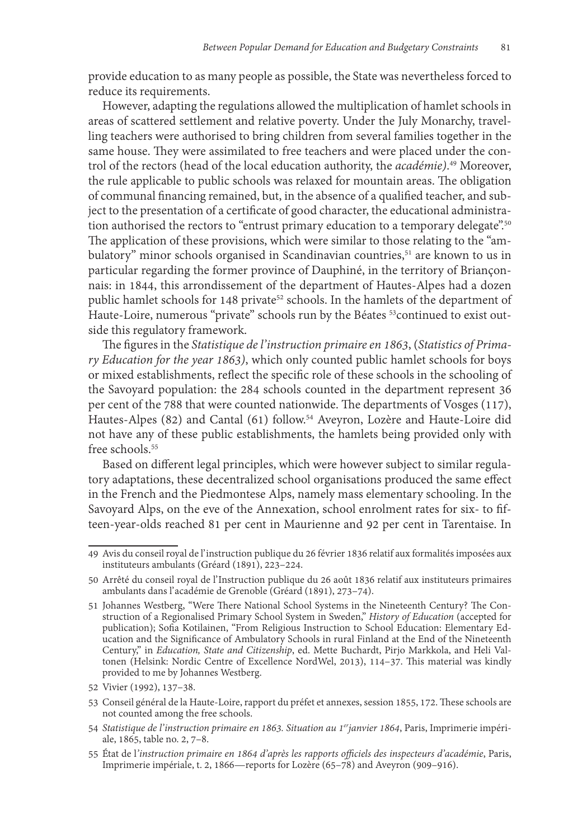provide education to as many people as possible, the State was nevertheless forced to reduce its requirements.

However, adapting the regulations allowed the multiplication of hamlet schools in areas of scattered settlement and relative poverty. Under the July Monarchy, travelling teachers were authorised to bring children from several families together in the same house. They were assimilated to free teachers and were placed under the control of the rectors (head of the local education authority, the *académie)*. 49 Moreover, the rule applicable to public schools was relaxed for mountain areas. The obligation of communal financing remained, but, in the absence of a qualified teacher, and subject to the presentation of a certificate of good character, the educational administration authorised the rectors to "entrust primary education to a temporary delegate".<sup>50</sup> The application of these provisions, which were similar to those relating to the "ambulatory" minor schools organised in Scandinavian countries,<sup>51</sup> are known to us in particular regarding the former province of Dauphiné, in the territory of Briançonnais: in 1844, this arrondissement of the department of Hautes-Alpes had a dozen public hamlet schools for 148 private<sup>52</sup> schools. In the hamlets of the department of Haute-Loire, numerous "private" schools run by the Béates <sup>53</sup>continued to exist outside this regulatory framework.

The figures in the *Statistique de l' instruction primaire en 1863*, (*Statistics of Primary Education for the year 1863)*, which only counted public hamlet schools for boys or mixed establishments, reflect the specific role of these schools in the schooling of the Savoyard population: the 284 schools counted in the department represent 36 per cent of the 788 that were counted nationwide. The departments of Vosges (117), Hautes-Alpes (82) and Cantal (61) follow.54 Aveyron, Lozère and Haute-Loire did not have any of these public establishments, the hamlets being provided only with free schools.<sup>55</sup>

Based on different legal principles, which were however subject to similar regulatory adaptations, these decentralized school organisations produced the same effect in the French and the Piedmontese Alps, namely mass elementary schooling. In the Savoyard Alps, on the eve of the Annexation, school enrolment rates for six- to fifteen-year-olds reached 81 per cent in Maurienne and 92 per cent in Tarentaise. In

<sup>49</sup> Avis du conseil royal de l' instruction publique du 26 février 1836 relatif aux formalités imposées aux instituteurs ambulants (Gréard (1891), 223–224.

<sup>50</sup> Arrêté du conseil royal de l' Instruction publique du 26 août 1836 relatif aux instituteurs primaires ambulants dans l' académie de Grenoble (Gréard (1891), 273–74).

<sup>51</sup> Johannes Westberg, "Were There National School Systems in the Nineteenth Century? The Construction of a Regionalised Primary School System in Sweden," *History of Education* (accepted for publication); Sofia Kotilainen, "From Religious Instruction to School Education: Elementary Education and the Significance of Ambulatory Schools in rural Finland at the End of the Nineteenth Century," in *Education, State and Citizenship*, ed. Mette Buchardt, Pirjo Markkola, and Heli Valtonen (Helsink: Nordic Centre of Excellence NordWel, 2013), 114–37. This material was kindly provided to me by Johannes Westberg.

<sup>52</sup> Vivier (1992), 137–38.

<sup>53</sup> Conseil général de la Haute-Loire, rapport du préfet et annexes, session 1855, 172. These schools are not counted among the free schools.

<sup>54</sup> *Statistique de l' instruction primaire en 1863. Situation au 1erjanvier 1864*, Paris, Imprimerie impéri- ale, 1865, table no. 2, 7–8.

<sup>55</sup> État de l*' instruction primaire en 1864 d'après les rapports officiels des inspecteurs d'académie*, Paris, Imprimerie impériale, t. 2, 1866—reports for Lozère (65–78) and Aveyron (909–916).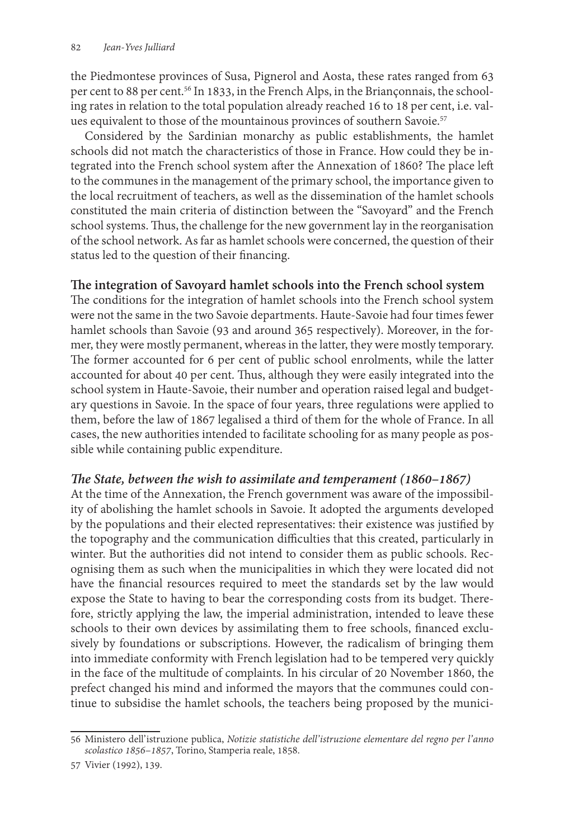the Piedmontese provinces of Susa, Pignerol and Aosta, these rates ranged from 63 per cent to 88 per cent.<sup>56</sup> In 1833, in the French Alps, in the Briançonnais, the schooling rates in relation to the total population already reached 16 to 18 per cent, i.e. values equivalent to those of the mountainous provinces of southern Savoie.<sup>57</sup>

Considered by the Sardinian monarchy as public establishments, the hamlet schools did not match the characteristics of those in France. How could they be integrated into the French school system after the Annexation of 1860? The place left to the communes in the management of the primary school, the importance given to the local recruitment of teachers, as well as the dissemination of the hamlet schools constituted the main criteria of distinction between the "Savoyard" and the French school systems. Thus, the challenge for the new government lay in the reorganisation of the school network. As far as hamlet schools were concerned, the question of their status led to the question of their financing.

### **The integration of Savoyard hamlet schools into the French school system**

The conditions for the integration of hamlet schools into the French school system were not the same in the two Savoie departments. Haute-Savoie had four times fewer hamlet schools than Savoie (93 and around 365 respectively). Moreover, in the former, they were mostly permanent, whereas in the latter, they were mostly temporary. The former accounted for 6 per cent of public school enrolments, while the latter accounted for about 40 per cent. Thus, although they were easily integrated into the school system in Haute-Savoie, their number and operation raised legal and budgetary questions in Savoie. In the space of four years, three regulations were applied to them, before the law of 1867 legalised a third of them for the whole of France. In all cases, the new authorities intended to facilitate schooling for as many people as possible while containing public expenditure.

### *The State, between the wish to assimilate and temperament (1860–1867)*

At the time of the Annexation, the French government was aware of the impossibility of abolishing the hamlet schools in Savoie. It adopted the arguments developed by the populations and their elected representatives: their existence was justified by the topography and the communication difficulties that this created, particularly in winter. But the authorities did not intend to consider them as public schools. Recognising them as such when the municipalities in which they were located did not have the financial resources required to meet the standards set by the law would expose the State to having to bear the corresponding costs from its budget. Therefore, strictly applying the law, the imperial administration, intended to leave these schools to their own devices by assimilating them to free schools, financed exclusively by foundations or subscriptions. However, the radicalism of bringing them into immediate conformity with French legislation had to be tempered very quickly in the face of the multitude of complaints. In his circular of 20 November 1860, the prefect changed his mind and informed the mayors that the communes could continue to subsidise the hamlet schools, the teachers being proposed by the munici-

<sup>56</sup> Ministero dell' istruzione publica, *Notizie statistiche dell' istruzione elementare del regno per l' anno scolastico 1856–1857*, Torino, Stamperia reale, 1858.

<sup>57</sup> Vivier (1992), 139.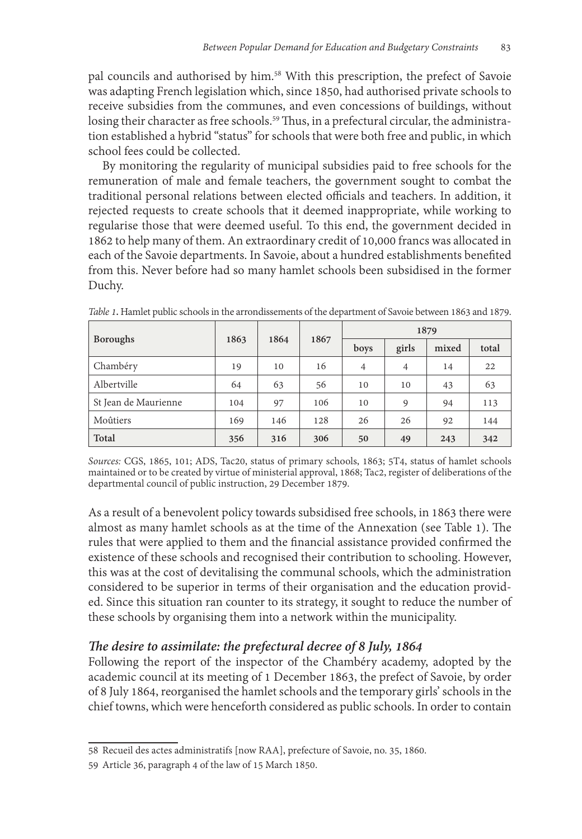pal councils and authorised by him.58 With this prescription, the prefect of Savoie was adapting French legislation which, since 1850, had authorised private schools to receive subsidies from the communes, and even concessions of buildings, without losing their character as free schools.<sup>59</sup> Thus, in a prefectural circular, the administration established a hybrid "status" for schools that were both free and public, in which school fees could be collected.

By monitoring the regularity of municipal subsidies paid to free schools for the remuneration of male and female teachers, the government sought to combat the traditional personal relations between elected officials and teachers. In addition, it rejected requests to create schools that it deemed inappropriate, while working to regularise those that were deemed useful. To this end, the government decided in 1862 to help many of them. An extraordinary credit of 10,000 francs was allocated in each of the Savoie departments. In Savoie, about a hundred establishments benefited from this. Never before had so many hamlet schools been subsidised in the former Duchy.

| <b>Boroughs</b>      | 1863 | 1864 | 1867 | 1879           |                |       |       |
|----------------------|------|------|------|----------------|----------------|-------|-------|
|                      |      |      |      | boys           | girls          | mixed | total |
| Chambéry             | 19   | 10   | 16   | $\overline{4}$ | $\overline{4}$ | 14    | 22    |
| Albertville          | 64   | 63   | 56   | 10             | 10             | 43    | 63    |
| St Jean de Maurienne | 104  | 97   | 106  | 10             | 9              | 94    | 113   |
| Moûtiers             | 169  | 146  | 128  | 26             | 26             | 92    | 144   |
| Total                | 356  | 316  | 306  | 50             | 49             | 243   | 342   |

*Table 1***.** Hamlet public schools in the arrondissements of the department of Savoie between 1863 and 1879.

*Sources:* CGS, 1865, 101; ADS, Tac20, status of primary schools, 1863; 5T4, status of hamlet schools maintained or to be created by virtue of ministerial approval, 1868; Tac2, register of deliberations of the departmental council of public instruction, 29 December 1879.

As a result of a benevolent policy towards subsidised free schools, in 1863 there were almost as many hamlet schools as at the time of the Annexation (see Table 1). The rules that were applied to them and the financial assistance provided confirmed the existence of these schools and recognised their contribution to schooling. However, this was at the cost of devitalising the communal schools, which the administration considered to be superior in terms of their organisation and the education provided. Since this situation ran counter to its strategy, it sought to reduce the number of these schools by organising them into a network within the municipality.

### *The desire to assimilate: the prefectural decree of 8 July, 1864*

Following the report of the inspector of the Chambéry academy, adopted by the academic council at its meeting of 1 December 1863, the prefect of Savoie, by order of 8 July 1864, reorganised the hamlet schools and the temporary girls' schools in the chief towns, which were henceforth considered as public schools. In order to contain

<sup>58</sup> Recueil des actes administratifs [now RAA], prefecture of Savoie, no. 35, 1860.

<sup>59</sup> Article 36, paragraph 4 of the law of 15 March 1850.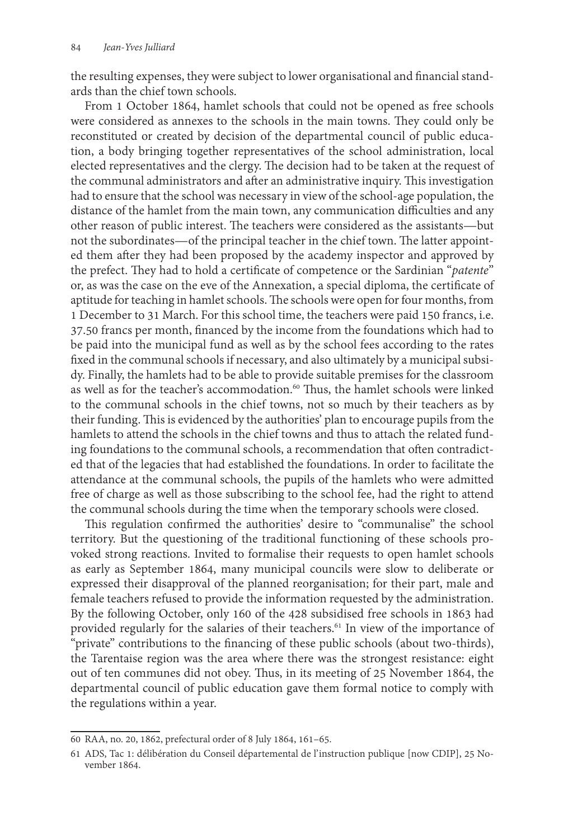the resulting expenses, they were subject to lower organisational and financial standards than the chief town schools.

From 1 October 1864, hamlet schools that could not be opened as free schools were considered as annexes to the schools in the main towns. They could only be reconstituted or created by decision of the departmental council of public education, a body bringing together representatives of the school administration, local elected representatives and the clergy. The decision had to be taken at the request of the communal administrators and after an administrative inquiry. This investigation had to ensure that the school was necessary in view of the school-age population, the distance of the hamlet from the main town, any communication difficulties and any other reason of public interest. The teachers were considered as the assistants—but not the subordinates—of the principal teacher in the chief town. The latter appointed them after they had been proposed by the academy inspector and approved by the prefect. They had to hold a certificate of competence or the Sardinian "*patente*" or, as was the case on the eve of the Annexation, a special diploma, the certificate of aptitude for teaching in hamlet schools. The schools were open for four months, from 1 December to 31 March. For this school time, the teachers were paid 150 francs, i.e. 37.50 francs per month, financed by the income from the foundations which had to be paid into the municipal fund as well as by the school fees according to the rates fixed in the communal schools if necessary, and also ultimately by a municipal subsidy. Finally, the hamlets had to be able to provide suitable premises for the classroom as well as for the teacher's accommodation.<sup>60</sup> Thus, the hamlet schools were linked to the communal schools in the chief towns, not so much by their teachers as by their funding. This is evidenced by the authorities' plan to encourage pupils from the hamlets to attend the schools in the chief towns and thus to attach the related funding foundations to the communal schools, a recommendation that often contradicted that of the legacies that had established the foundations. In order to facilitate the attendance at the communal schools, the pupils of the hamlets who were admitted free of charge as well as those subscribing to the school fee, had the right to attend the communal schools during the time when the temporary schools were closed.

This regulation confirmed the authorities' desire to "communalise" the school territory. But the questioning of the traditional functioning of these schools provoked strong reactions. Invited to formalise their requests to open hamlet schools as early as September 1864, many municipal councils were slow to deliberate or expressed their disapproval of the planned reorganisation; for their part, male and female teachers refused to provide the information requested by the administration. By the following October, only 160 of the 428 subsidised free schools in 1863 had provided regularly for the salaries of their teachers.<sup>61</sup> In view of the importance of "private" contributions to the financing of these public schools (about two-thirds), the Tarentaise region was the area where there was the strongest resistance: eight out of ten communes did not obey. Thus, in its meeting of 25 November 1864, the departmental council of public education gave them formal notice to comply with the regulations within a year.

<sup>60</sup> RAA, no. 20, 1862, prefectural order of 8 July 1864, 161–65.

<sup>61</sup> ADS, Tac 1: délibération du Conseil départemental de l' instruction publique [now CDIP], 25 November 1864.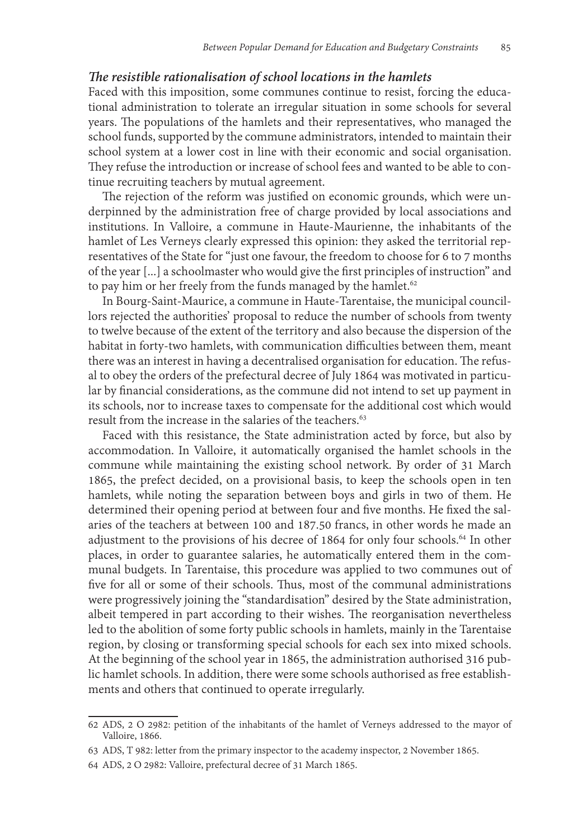#### *The resistible rationalisation of school locations in the hamlets*

Faced with this imposition, some communes continue to resist, forcing the educational administration to tolerate an irregular situation in some schools for several years. The populations of the hamlets and their representatives, who managed the school funds, supported by the commune administrators, intended to maintain their school system at a lower cost in line with their economic and social organisation. They refuse the introduction or increase of school fees and wanted to be able to continue recruiting teachers by mutual agreement.

The rejection of the reform was justified on economic grounds, which were underpinned by the administration free of charge provided by local associations and institutions. In Valloire, a commune in Haute-Maurienne, the inhabitants of the hamlet of Les Verneys clearly expressed this opinion: they asked the territorial representatives of the State for "just one favour, the freedom to choose for 6 to 7 months of the year [...] a schoolmaster who would give the first principles of instruction" and to pay him or her freely from the funds managed by the hamlet.<sup>62</sup>

In Bourg-Saint-Maurice, a commune in Haute-Tarentaise, the municipal councillors rejected the authorities' proposal to reduce the number of schools from twenty to twelve because of the extent of the territory and also because the dispersion of the habitat in forty-two hamlets, with communication difficulties between them, meant there was an interest in having a decentralised organisation for education. The refusal to obey the orders of the prefectural decree of July 1864 was motivated in particular by financial considerations, as the commune did not intend to set up payment in its schools, nor to increase taxes to compensate for the additional cost which would result from the increase in the salaries of the teachers.<sup>63</sup>

Faced with this resistance, the State administration acted by force, but also by accommodation. In Valloire, it automatically organised the hamlet schools in the commune while maintaining the existing school network. By order of 31 March 1865, the prefect decided, on a provisional basis, to keep the schools open in ten hamlets, while noting the separation between boys and girls in two of them. He determined their opening period at between four and five months. He fixed the salaries of the teachers at between 100 and 187.50 francs, in other words he made an adjustment to the provisions of his decree of 1864 for only four schools.<sup>64</sup> In other places, in order to guarantee salaries, he automatically entered them in the communal budgets. In Tarentaise, this procedure was applied to two communes out of five for all or some of their schools. Thus, most of the communal administrations were progressively joining the "standardisation" desired by the State administration, albeit tempered in part according to their wishes. The reorganisation nevertheless led to the abolition of some forty public schools in hamlets, mainly in the Tarentaise region, by closing or transforming special schools for each sex into mixed schools. At the beginning of the school year in 1865, the administration authorised 316 public hamlet schools. In addition, there were some schools authorised as free establishments and others that continued to operate irregularly.

<sup>62</sup> ADS, 2 O 2982: petition of the inhabitants of the hamlet of Verneys addressed to the mayor of Valloire, 1866.

<sup>63</sup> ADS, T 982: letter from the primary inspector to the academy inspector, 2 November 1865.

<sup>64</sup> ADS, 2 O 2982: Valloire, prefectural decree of 31 March 1865.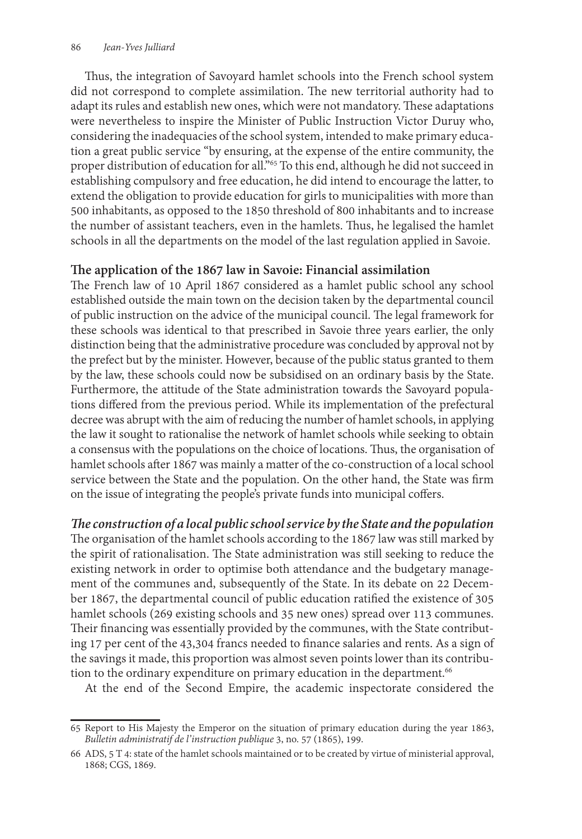Thus, the integration of Savoyard hamlet schools into the French school system did not correspond to complete assimilation. The new territorial authority had to adapt its rules and establish new ones, which were not mandatory. These adaptations were nevertheless to inspire the Minister of Public Instruction Victor Duruy who, considering the inadequacies of the school system, intended to make primary education a great public service "by ensuring, at the expense of the entire community, the proper distribution of education for all."65 To this end, although he did not succeed in establishing compulsory and free education, he did intend to encourage the latter, to extend the obligation to provide education for girls to municipalities with more than 500 inhabitants, as opposed to the 1850 threshold of 800 inhabitants and to increase the number of assistant teachers, even in the hamlets. Thus, he legalised the hamlet schools in all the departments on the model of the last regulation applied in Savoie.

### **The application of the 1867 law in Savoie: Financial assimilation**

The French law of 10 April 1867 considered as a hamlet public school any school established outside the main town on the decision taken by the departmental council of public instruction on the advice of the municipal council. The legal framework for these schools was identical to that prescribed in Savoie three years earlier, the only distinction being that the administrative procedure was concluded by approval not by the prefect but by the minister. However, because of the public status granted to them by the law, these schools could now be subsidised on an ordinary basis by the State. Furthermore, the attitude of the State administration towards the Savoyard populations differed from the previous period. While its implementation of the prefectural decree was abrupt with the aim of reducing the number of hamlet schools, in applying the law it sought to rationalise the network of hamlet schools while seeking to obtain a consensus with the populations on the choice of locations. Thus, the organisation of hamlet schools after 1867 was mainly a matter of the co-construction of a local school service between the State and the population. On the other hand, the State was firm on the issue of integrating the people's private funds into municipal coffers.

*The construction of a local public school service by the State and the population*  The organisation of the hamlet schools according to the 1867 law was still marked by the spirit of rationalisation. The State administration was still seeking to reduce the existing network in order to optimise both attendance and the budgetary management of the communes and, subsequently of the State. In its debate on 22 December 1867, the departmental council of public education ratified the existence of 305 hamlet schools (269 existing schools and 35 new ones) spread over 113 communes. Their financing was essentially provided by the communes, with the State contributing 17 per cent of the 43,304 francs needed to finance salaries and rents. As a sign of the savings it made, this proportion was almost seven points lower than its contribution to the ordinary expenditure on primary education in the department.<sup>66</sup>

At the end of the Second Empire, the academic inspectorate considered the

<sup>65</sup> Report to His Majesty the Emperor on the situation of primary education during the year 1863, *Bulletin administratif de l' instruction publique* 3, no. 57 (1865), 199.

<sup>66</sup> ADS, 5 T 4: state of the hamlet schools maintained or to be created by virtue of ministerial approval, 1868; CGS, 1869.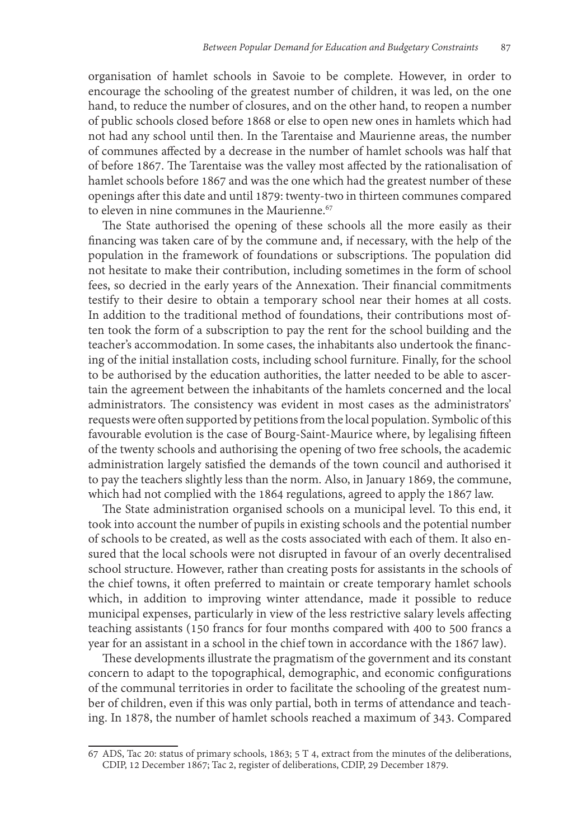organisation of hamlet schools in Savoie to be complete. However, in order to encourage the schooling of the greatest number of children, it was led, on the one hand, to reduce the number of closures, and on the other hand, to reopen a number of public schools closed before 1868 or else to open new ones in hamlets which had not had any school until then. In the Tarentaise and Maurienne areas, the number of communes affected by a decrease in the number of hamlet schools was half that of before 1867. The Tarentaise was the valley most affected by the rationalisation of hamlet schools before 1867 and was the one which had the greatest number of these openings after this date and until 1879: twenty-two in thirteen communes compared to eleven in nine communes in the Maurienne.<sup>67</sup>

The State authorised the opening of these schools all the more easily as their financing was taken care of by the commune and, if necessary, with the help of the population in the framework of foundations or subscriptions. The population did not hesitate to make their contribution, including sometimes in the form of school fees, so decried in the early years of the Annexation. Their financial commitments testify to their desire to obtain a temporary school near their homes at all costs. In addition to the traditional method of foundations, their contributions most often took the form of a subscription to pay the rent for the school building and the teacher's accommodation. In some cases, the inhabitants also undertook the financing of the initial installation costs, including school furniture. Finally, for the school to be authorised by the education authorities, the latter needed to be able to ascertain the agreement between the inhabitants of the hamlets concerned and the local administrators. The consistency was evident in most cases as the administrators' requests were often supported by petitions from the local population. Symbolic of this favourable evolution is the case of Bourg-Saint-Maurice where, by legalising fifteen of the twenty schools and authorising the opening of two free schools, the academic administration largely satisfied the demands of the town council and authorised it to pay the teachers slightly less than the norm. Also, in January 1869, the commune, which had not complied with the 1864 regulations, agreed to apply the 1867 law.

The State administration organised schools on a municipal level. To this end, it took into account the number of pupils in existing schools and the potential number of schools to be created, as well as the costs associated with each of them. It also ensured that the local schools were not disrupted in favour of an overly decentralised school structure. However, rather than creating posts for assistants in the schools of the chief towns, it often preferred to maintain or create temporary hamlet schools which, in addition to improving winter attendance, made it possible to reduce municipal expenses, particularly in view of the less restrictive salary levels affecting teaching assistants (150 francs for four months compared with 400 to 500 francs a year for an assistant in a school in the chief town in accordance with the 1867 law).

These developments illustrate the pragmatism of the government and its constant concern to adapt to the topographical, demographic, and economic configurations of the communal territories in order to facilitate the schooling of the greatest number of children, even if this was only partial, both in terms of attendance and teaching. In 1878, the number of hamlet schools reached a maximum of 343. Compared

<sup>67</sup> ADS, Tac 20: status of primary schools, 1863; 5 T 4, extract from the minutes of the deliberations, CDIP, 12 December 1867; Tac 2, register of deliberations, CDIP, 29 December 1879.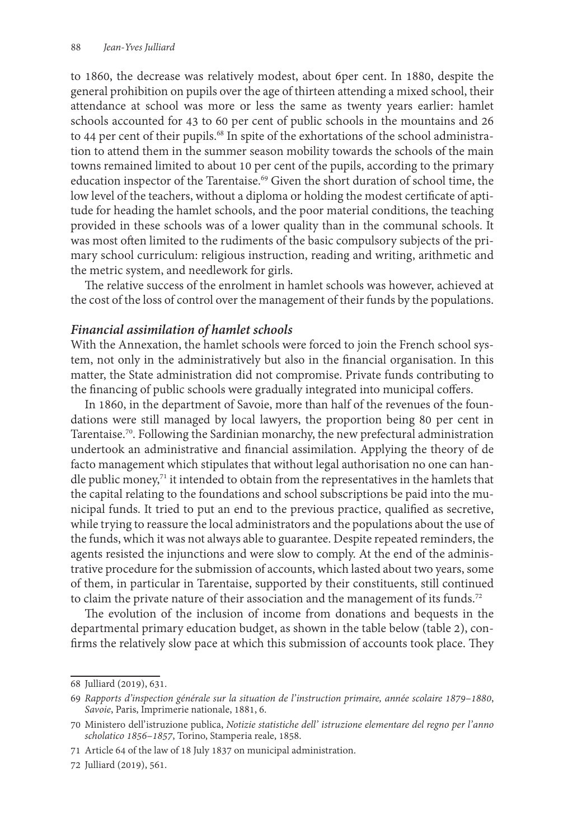to 1860, the decrease was relatively modest, about 6per cent. In 1880, despite the general prohibition on pupils over the age of thirteen attending a mixed school, their attendance at school was more or less the same as twenty years earlier: hamlet schools accounted for 43 to 60 per cent of public schools in the mountains and 26 to 44 per cent of their pupils.<sup>68</sup> In spite of the exhortations of the school administration to attend them in the summer season mobility towards the schools of the main towns remained limited to about 10 per cent of the pupils, according to the primary education inspector of the Tarentaise.<sup>69</sup> Given the short duration of school time, the low level of the teachers, without a diploma or holding the modest certificate of aptitude for heading the hamlet schools, and the poor material conditions, the teaching provided in these schools was of a lower quality than in the communal schools. It was most often limited to the rudiments of the basic compulsory subjects of the primary school curriculum: religious instruction, reading and writing, arithmetic and the metric system, and needlework for girls.

The relative success of the enrolment in hamlet schools was however, achieved at the cost of the loss of control over the management of their funds by the populations.

#### *Financial assimilation of hamlet schools*

With the Annexation, the hamlet schools were forced to join the French school system, not only in the administratively but also in the financial organisation. In this matter, the State administration did not compromise. Private funds contributing to the financing of public schools were gradually integrated into municipal coffers.

In 1860, in the department of Savoie, more than half of the revenues of the foundations were still managed by local lawyers, the proportion being 80 per cent in Tarentaise.70. Following the Sardinian monarchy, the new prefectural administration undertook an administrative and financial assimilation. Applying the theory of de facto management which stipulates that without legal authorisation no one can handle public money, $71$  it intended to obtain from the representatives in the hamlets that the capital relating to the foundations and school subscriptions be paid into the municipal funds. It tried to put an end to the previous practice, qualified as secretive, while trying to reassure the local administrators and the populations about the use of the funds, which it was not always able to guarantee. Despite repeated reminders, the agents resisted the injunctions and were slow to comply. At the end of the administrative procedure for the submission of accounts, which lasted about two years, some of them, in particular in Tarentaise, supported by their constituents, still continued to claim the private nature of their association and the management of its funds.<sup>72</sup>

The evolution of the inclusion of income from donations and bequests in the departmental primary education budget, as shown in the table below (table 2), confirms the relatively slow pace at which this submission of accounts took place. They

72 Julliard (2019), 561.

<sup>68</sup> Julliard (2019), 631.

<sup>69</sup> *Rapports d'inspection générale sur la situation de l' instruction primaire, année scolaire 1879–1880*, *Savoie*, Paris, Imprimerie nationale, 1881, 6.

<sup>70</sup> Ministero dell' istruzione publica, *Notizie statistiche dell'  istruzione elementare del regno per l' anno scholatico 1856–1857*, Torino, Stamperia reale, 1858.

<sup>71</sup> Article 64 of the law of 18 July 1837 on municipal administration.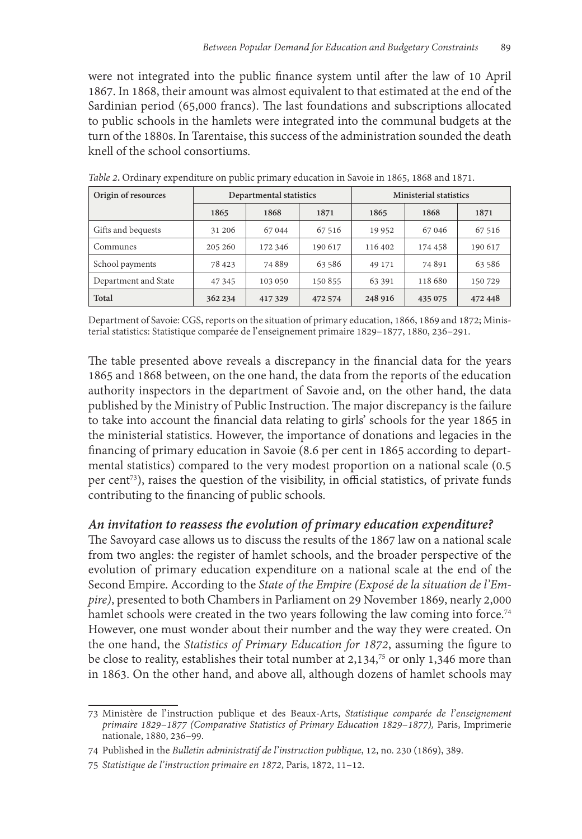were not integrated into the public finance system until after the law of 10 April 1867. In 1868, their amount was almost equivalent to that estimated at the end of the Sardinian period (65,000 francs). The last foundations and subscriptions allocated to public schools in the hamlets were integrated into the communal budgets at the turn of the 1880s. In Tarentaise, this success of the administration sounded the death knell of the school consortiums.

| Origin of resources  |         | Departmental statistics |         | <b>Ministerial statistics</b> |         |         |  |
|----------------------|---------|-------------------------|---------|-------------------------------|---------|---------|--|
|                      | 1865    | 1868                    | 1871    | 1865                          | 1868    | 1871    |  |
| Gifts and bequests   | 31 20 6 | 67044                   | 67 516  | 19 9 52                       | 67046   | 67 516  |  |
| Communes             | 205 260 | 172 346                 | 190 617 | 116 402                       | 174 458 | 190 617 |  |
| School payments      | 78 4 23 | 74889                   | 63 586  | 49 171                        | 74891   | 63 586  |  |
| Department and State | 47 345  | 103 050                 | 150 855 | 63 3 91                       | 118 680 | 150729  |  |
| Total                | 362 234 | 417329                  | 472 574 | 248 916                       | 435 075 | 472448  |  |

*Table 2***.** Ordinary expenditure on public primary education in Savoie in 1865, 1868 and 1871.

Department of Savoie: CGS, reports on the situation of primary education, 1866, 1869 and 1872; Minis- terial statistics: Statistique comparée de l' enseignement primaire 1829–1877, 1880, 236–291.

The table presented above reveals a discrepancy in the financial data for the years 1865 and 1868 between, on the one hand, the data from the reports of the education authority inspectors in the department of Savoie and, on the other hand, the data published by the Ministry of Public Instruction. The major discrepancy is the failure to take into account the financial data relating to girls' schools for the year 1865 in the ministerial statistics. However, the importance of donations and legacies in the financing of primary education in Savoie (8.6 per cent in 1865 according to departmental statistics) compared to the very modest proportion on a national scale (0.5 per cent<sup>73</sup>), raises the question of the visibility, in official statistics, of private funds contributing to the financing of public schools.

#### *An invitation to reassess the evolution of primary education expenditure?*

The Savoyard case allows us to discuss the results of the 1867 law on a national scale from two angles: the register of hamlet schools, and the broader perspective of the evolution of primary education expenditure on a national scale at the end of the Second Empire. According to the *State of the Empire (Exposé de la situation de l' Empire)*, presented to both Chambers in Parliament on 29 November 1869, nearly 2,000 hamlet schools were created in the two years following the law coming into force.<sup>74</sup> However, one must wonder about their number and the way they were created. On the one hand, the *Statistics of Primary Education for 1872*, assuming the figure to be close to reality, establishes their total number at 2,134,<sup>75</sup> or only 1,346 more than in 1863. On the other hand, and above all, although dozens of hamlet schools may

<sup>73</sup> Ministère de l' instruction publique et des Beaux-Arts, *Statistique comparée de l' enseignement primaire 1829–1877 (Comparative Statistics of Primary Education 1829–1877),* Paris, Imprimerie nationale, 1880, 236–99.

<sup>74</sup> Published in the *Bulletin administratif de l' instruction publique*, 12, no. 230 (1869), 389.

<sup>75</sup> *Statistique de l' instruction primaire en 1872*, Paris, 1872, 11–12.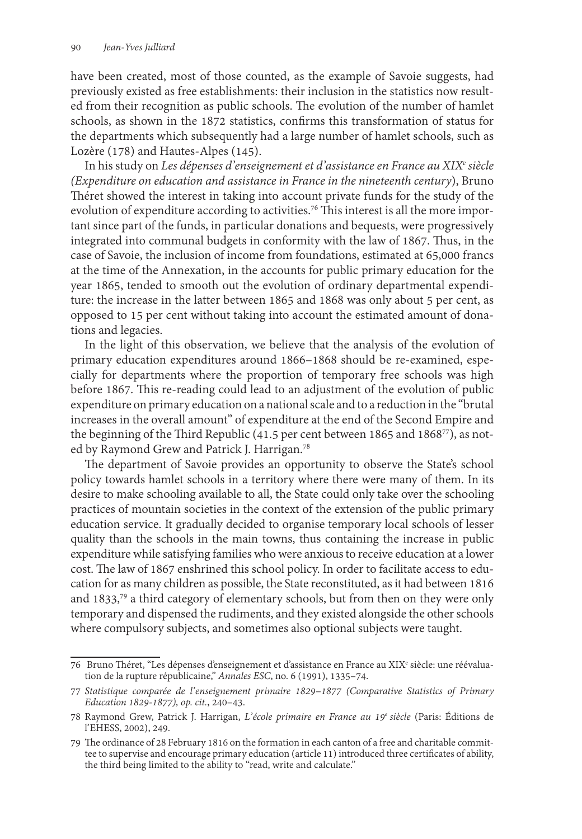have been created, most of those counted, as the example of Savoie suggests, had previously existed as free establishments: their inclusion in the statistics now resulted from their recognition as public schools. The evolution of the number of hamlet schools, as shown in the 1872 statistics, confirms this transformation of status for the departments which subsequently had a large number of hamlet schools, such as Lozère (178) and Hautes-Alpes (145).

In his study on *Les dépenses d'enseignement et d'assistance en France au XIXe siècle (Expenditure on education and assistance in France in the nineteenth century*), Bruno Théret showed the interest in taking into account private funds for the study of the evolution of expenditure according to activities.<sup>76</sup> This interest is all the more important since part of the funds, in particular donations and bequests, were progressively integrated into communal budgets in conformity with the law of 1867. Thus, in the case of Savoie, the inclusion of income from foundations, estimated at 65,000 francs at the time of the Annexation, in the accounts for public primary education for the year 1865, tended to smooth out the evolution of ordinary departmental expenditure: the increase in the latter between 1865 and 1868 was only about 5 per cent, as opposed to 15 per cent without taking into account the estimated amount of donations and legacies.

In the light of this observation, we believe that the analysis of the evolution of primary education expenditures around 1866–1868 should be re-examined, especially for departments where the proportion of temporary free schools was high before 1867. This re-reading could lead to an adjustment of the evolution of public expenditure on primary education on a national scale and to a reduction in the "brutal increases in the overall amount" of expenditure at the end of the Second Empire and the beginning of the Third Republic (41.5 per cent between 1865 and 186877), as noted by Raymond Grew and Patrick J. Harrigan.<sup>78</sup>

The department of Savoie provides an opportunity to observe the State's school policy towards hamlet schools in a territory where there were many of them. In its desire to make schooling available to all, the State could only take over the schooling practices of mountain societies in the context of the extension of the public primary education service. It gradually decided to organise temporary local schools of lesser quality than the schools in the main towns, thus containing the increase in public expenditure while satisfying families who were anxious to receive education at a lower cost. The law of 1867 enshrined this school policy. In order to facilitate access to education for as many children as possible, the State reconstituted, as it had between 1816 and 1833,79 a third category of elementary schools, but from then on they were only temporary and dispensed the rudiments, and they existed alongside the other schools where compulsory subjects, and sometimes also optional subjects were taught.

<sup>76</sup> Bruno Théret, "Les dépenses d'enseignement et d'assistance en France au XIXe siècle: une réévaluation de la rupture républicaine," *Annales ESC*, no. 6 (1991), 1335–74.

<sup>77</sup> *Statistique comparée de l' enseignement primaire 1829–1877 (Comparative Statistics of Primary Education 1829-1877), op. cit.*, 240–43.

<sup>78</sup> Raymond Grew, Patrick J. Harrigan, *L' école primaire en France au 19e siècle* (Paris: Éditions de l' EHESS, 2002), 249.

<sup>79</sup> The ordinance of 28 February 1816 on the formation in each canton of a free and charitable commit- tee to supervise and encourage primary education (article 11) introduced three certificates of ability, the third being limited to the ability to "read, write and calculate."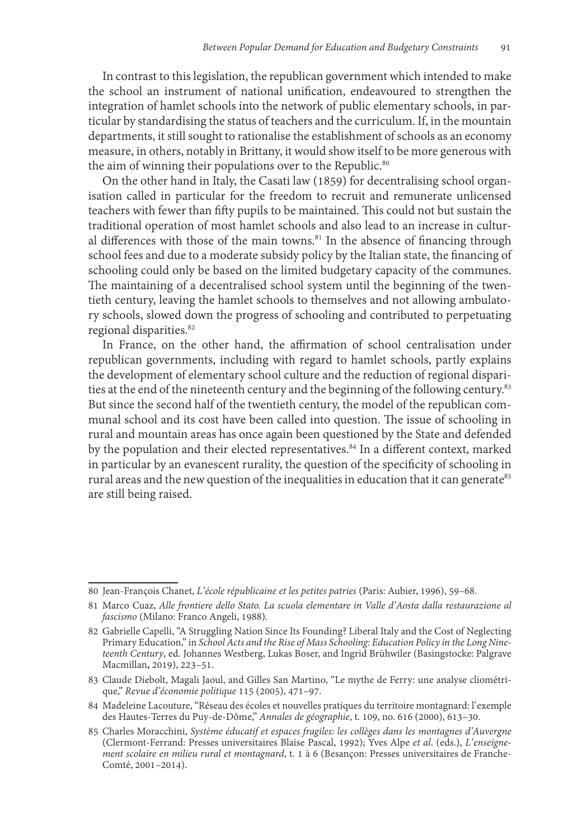In contrast to this legislation, the republican government which intended to make the school an instrument of national unification, endeavoured to strengthen the integration of hamlet schools into the network of public elementary schools, in particular by standardising the status of teachers and the curriculum. If, in the mountain departments, it still sought to rationalise the establishment of schools as an economy measure, in others, notably in Brittany, it would show itself to be more generous with the aim of winning their populations over to the Republic.<sup>80</sup>

On the other hand in Italy, the Casati law (1859) for decentralising school organisation called in particular for the freedom to recruit and remunerate unlicensed teachers with fewer than fifty pupils to be maintained. This could not but sustain the traditional operation of most hamlet schools and also lead to an increase in cultural differences with those of the main towns. $81$  In the absence of financing through school fees and due to a moderate subsidy policy by the Italian state, the financing of schooling could only be based on the limited budgetary capacity of the communes. The maintaining of a decentralised school system until the beginning of the twentieth century, leaving the hamlet schools to themselves and not allowing ambulatory schools, slowed down the progress of schooling and contributed to perpetuating regional disparities.<sup>82</sup>

In France, on the other hand, the affirmation of school centralisation under republican governments, including with regard to hamlet schools, partly explains the development of elementary school culture and the reduction of regional disparities at the end of the nineteenth century and the beginning of the following century.<sup>83</sup> But since the second half of the twentieth century, the model of the republican communal school and its cost have been called into question. The issue of schooling in rural and mountain areas has once again been questioned by the State and defended by the population and their elected representatives.<sup>84</sup> In a different context, marked in particular by an evanescent rurality, the question of the specificity of schooling in rural areas and the new question of the inequalities in education that it can generate $85$ are still being raised.

<sup>80</sup> Jean-François Chanet, *L' école républicaine et les petites patries* (Paris: Aubier, 1996), 59–68.

<sup>81</sup> Marco Cuaz, *Alle frontiere dello Stato. La scuola elementare in Valle d'Aosta dalla restaurazione al fascismo* (Milano: Franco Angeli, 1988)*.*

<sup>82</sup> Gabrielle Capelli, "A Struggling Nation Since Its Founding? Liberal Italy and the Cost of Neglecting Primary Education," in *School Acts and the Rise of Mass Schooling: Education Policy in the Long Nineteenth Century*, ed. Johannes Westberg, Lukas Boser, and Ingrid Brühwiler (Basingstocke: Palgrave Macmillan**,** 2019), 223–51.

<sup>83</sup> Claude Diebolt, Magali Jaoul, and Gilles San Martino, "Le mythe de Ferry: une analyse cliométri- que," *Revue d' économie politique* 115 (2005), 471–97.

<sup>84</sup> Madeleine Lacouture, "Réseau des écoles et nouvelles pratiques du territoire montagnard: l' exemple des Hautes-Terres du Puy-de-Dôme," *Annales de géographie*, t. 109, no. 616 (2000), 613–30.

<sup>85</sup> Charles Moracchini, *Système éducatif et espaces fragiles: les collèges dans les montagnes d'Auvergne* (Clermont-Ferrand: Presses universitaires Blaise Pascal, 1992); Yves Alpe *et al*. (eds.), *L' enseignement scolaire en milieu rural et montagnard*, t. 1 à 6 (Besançon: Presses universitaires de Franche-Comté, 2001–2014).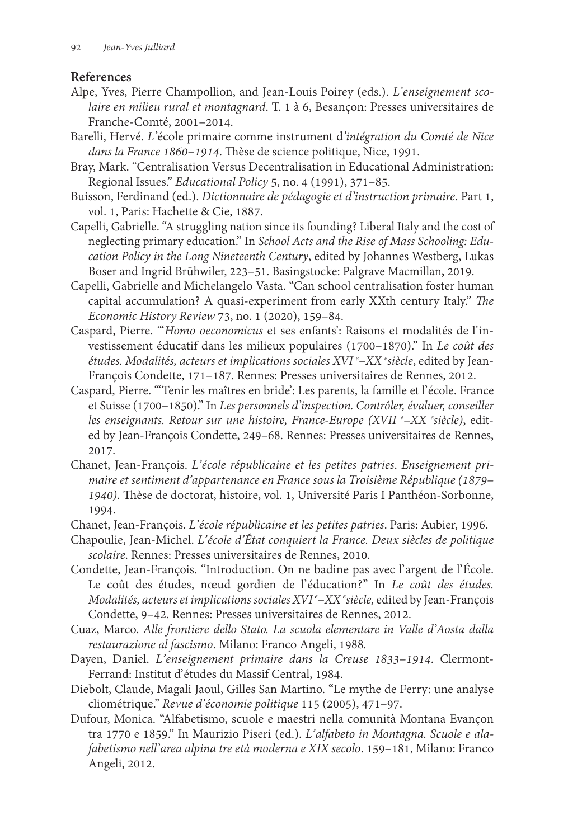#### **References**

- Alpe, Yves, Pierre Champollion, and Jean-Louis Poirey (eds.). *L' enseignement scolaire en milieu rural et montagnard*. T. 1 à 6, Besançon: Presses universitaires de Franche-Comté, 2001–2014.
- Barelli, Hervé. *L'*école primaire comme instrument d*'intégration du Comté de Nice dans la France 1860–1914*. Thèse de science politique, Nice, 1991.
- Bray, Mark. "Centralisation Versus Decentralisation in Educational Administration: Regional Issues." *Educational Policy* 5, no. 4 (1991), 371–85.
- Buisson, Ferdinand (ed.). *Dictionnaire de pédagogie et d'instruction primaire*. Part 1, vol. 1, Paris: Hachette & Cie, 1887.
- Capelli, Gabrielle. "A struggling nation since its founding? Liberal Italy and the cost of neglecting primary education." In *School Acts and the Rise of Mass Schooling: Education Policy in the Long Nineteenth Century*, edited by Johannes Westberg, Lukas Boser and Ingrid Brühwiler, 223–51. Basingstocke: Palgrave Macmillan**,** 2019.
- Capelli, Gabrielle and Michelangelo Vasta. "Can school centralisation foster human capital accumulation? A quasi-experiment from early XXth century Italy." *The Economic History Review* 73, no. 1 (2020), 159–84.
- Caspard, Pierre. "'*Homo oeconomicus* et ses enfants': Raisons et modalités de l' investissement éducatif dans les milieux populaires (1700–1870)." In *Le coût des études. Modalités, acteurs et implications sociales XVI e –XX e siècle*, edited by Jean-François Condette, 171–187. Rennes: Presses universitaires de Rennes, 2012.
- Caspard, Pierre. "'Tenir les maîtres en bride': Les parents, la famille et l' école. France et Suisse (1700–1850)." In *Les personnels d'inspection. Contrôler, évaluer, conseiller les enseignants. Retour sur une histoire, France-Europe (XVII e –XX <sup>e</sup> siècle)*, edited by Jean-François Condette, 249–68. Rennes: Presses universitaires de Rennes, 2017.
- Chanet, Jean-François. *L' école républicaine et les petites patries*. *Enseignement primaire et sentiment d'appartenance en France sous la Troisième République (1879– 1940).* Thèse de doctorat, histoire, vol. 1, Université Paris I Panthéon-Sorbonne, 1994.
- Chanet, Jean-François. *L' école républicaine et les petites patries*. Paris: Aubier, 1996.
- Chapoulie, Jean-Michel. *L' école d' État conquiert la France. Deux siècles de politique scolaire*. Rennes: Presses universitaires de Rennes, 2010.
- Condette, Jean-François. "Introduction. On ne badine pas avec l'argent de l'École. Le coût des études, nœud gordien de l' éducation?" In *Le coût des études. Modalités, acteurs et implications sociales XVI e –XX e siècle,* edited by Jean-François Condette, 9–42. Rennes: Presses universitaires de Rennes, 2012.
- Cuaz, Marco. *Alle frontiere dello Stato. La scuola elementare in Valle d'Aosta dalla restaurazione al fascismo*. Milano: Franco Angeli, 1988*.*
- Dayen, Daniel. *L' enseignement primaire dans la Creuse 1833–1914*. Clermont-Ferrand: Institut d' études du Massif Central, 1984.
- Diebolt, Claude, Magali Jaoul, Gilles San Martino. "Le mythe de Ferry: une analyse cliométrique." *Revue d' économie politique* 115 (2005), 471–97.
- Dufour, Monica. "Alfabetismo, scuole e maestri nella comunità Montana Evançon tra 1770 e 1859." In Maurizio Piseri (ed.). *L' alfabeto in Montagna. Scuole e alafabetismo nell' area alpina tre età moderna e XIX secolo*. 159–181, Milano: Franco Angeli, 2012.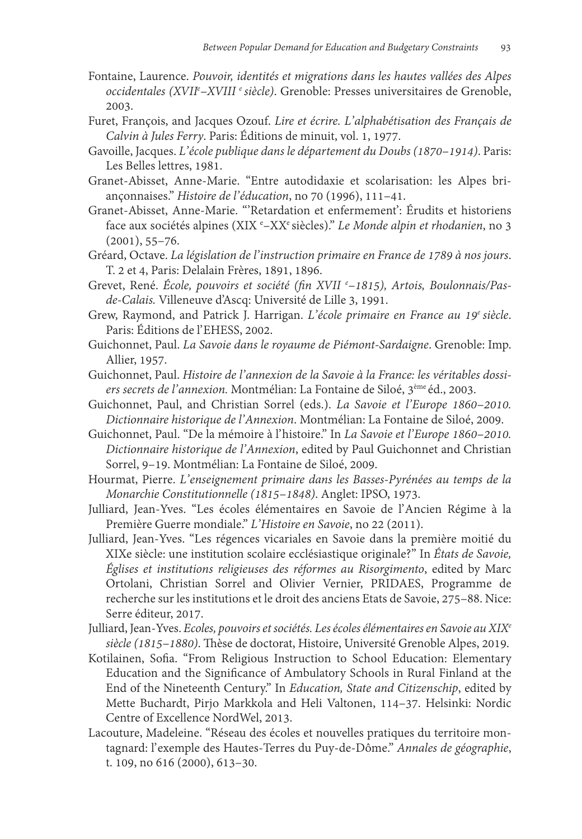- Fontaine, Laurence. *Pouvoir, identités et migrations dans les hautes vallées des Alpes occidentales (XVIIe –XVIII e siècle)*. Grenoble: Presses universitaires de Grenoble, 2003.
- Furet, François, and Jacques Ozouf. *Lire et écrire. L' alphabétisation des Français de Calvin à Jules Ferry*. Paris: Éditions de minuit, vol. 1, 1977.
- Gavoille, Jacques. *L' école publique dans le département du Doubs (1870–1914)*. Paris: Les Belles lettres, 1981.
- Granet-Abisset, Anne-Marie. "Entre autodidaxie et scolarisation: les Alpes briançonnaises." *Histoire de l' éducation*, no 70 (1996), 111–41.
- Granet-Abisset, Anne-Marie. "'Retardation et enfermement': Érudits et historiens face aux sociétés alpines (XIX e –XXe siècles)." *Le Monde alpin et rhodanien*, no 3 (2001), 55–76.
- Gréard, Octave. *La législation de l' instruction primaire en France de 1789 à nos jours*. T. 2 et 4, Paris: Delalain Frères, 1891, 1896.
- Grevet, René. *École, pouvoirs et société (fin XVII e –1815), Artois, Boulonnais/Pasde-Calais.* Villeneuve d'Ascq: Université de Lille 3, 1991.
- Grew, Raymond, and Patrick J. Harrigan. *L' école primaire en France au 19e siècle*. Paris: Éditions de l'EHESS, 2002.
- Guichonnet, Paul. *La Savoie dans le royaume de Piémont-Sardaigne*. Grenoble: Imp. Allier, 1957.
- Guichonnet, Paul. *Histoire de l' annexion de la Savoie à la France: les véritables dossiers secrets de l' annexion.* Montmélian: La Fontaine de Siloé, 3ème éd., 2003.
- Guichonnet, Paul, and Christian Sorrel (eds.). *La Savoie et l' Europe 1860–2010. Dictionnaire historique de l' Annexion*. Montmélian: La Fontaine de Siloé, 2009.
- Guichonnet, Paul. "De la mémoire à l' histoire." In *La Savoie et l' Europe 1860–2010. Dictionnaire historique de l' Annexion*, edited by Paul Guichonnet and Christian Sorrel, 9–19. Montmélian: La Fontaine de Siloé, 2009.
- Hourmat, Pierre. *L' enseignement primaire dans les Basses-Pyrénées au temps de la Monarchie Constitutionnelle (1815–1848)*. Anglet: IPSO, 1973.
- Julliard, Jean-Yves. "Les écoles élémentaires en Savoie de l'Ancien Régime à la Première Guerre mondiale." *L' Histoire en Savoie*, no 22 (2011).

Julliard, Jean-Yves. "Les régences vicariales en Savoie dans la première moitié du XIXe siècle: une institution scolaire ecclésiastique originale?" In *États de Savoie, Églises et institutions religieuses des réformes au Risorgimento*, edited by Marc Ortolani, Christian Sorrel and Olivier Vernier, PRIDAES, Programme de recherche sur les institutions et le droit des anciens Etats de Savoie, 275–88. Nice: Serre éditeur, 2017.

- Julliard, Jean-Yves. *Ecoles, pouvoirs et sociétés. Les écoles élémentaires en Savoie au XIXe siècle (1815–1880)*. Thèse de doctorat, Histoire, Université Grenoble Alpes, 2019.
- Kotilainen, Sofia. "From Religious Instruction to School Education: Elementary Education and the Significance of Ambulatory Schools in Rural Finland at the End of the Nineteenth Century." In *Education, State and Citizenschip*, edited by Mette Buchardt, Pirjo Markkola and Heli Valtonen, 114–37. Helsinki: Nordic Centre of Excellence NordWel, 2013.
- Lacouture, Madeleine. "Réseau des écoles et nouvelles pratiques du territoire montagnard: l' exemple des Hautes-Terres du Puy-de-Dôme." *Annales de géographie*, t. 109, no 616 (2000), 613–30.